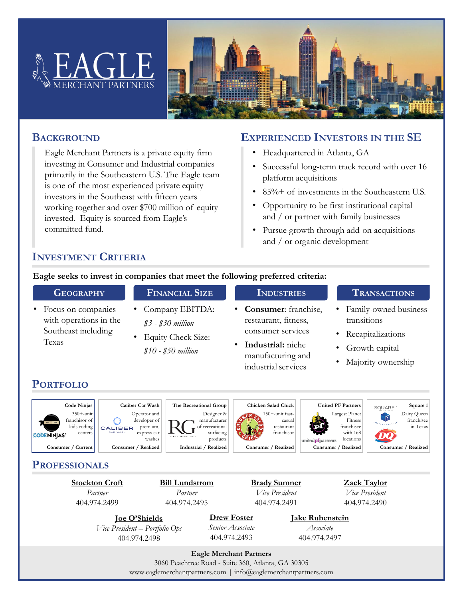



### **BACKGROUND**

Eagle Merchant Partners is a private equity firm investing in Consumer and Industrial companies primarily in the Southeastern U.S. The Eagle team is one of the most experienced private equity investors in the Southeast with fifteen years working together and over \$700 million of equity invested. Equity is sourced from Eagle's committed fund.

## **EXPERIENCED INVESTORS IN THE SE**

- Headquartered in Atlanta, GA
- Successful long-term track record with over 16 platform acquisitions
- 85% + of investments in the Southeastern U.S.
- Opportunity to be first institutional capital and / or partner with family businesses
- Pursue growth through add-on acquisitions and / or organic development

## **INVESTMENT CRITERIA**

#### **Eagle seeks to invest in companies that meet the following preferred criteria:**

**FINANCIAL SIZE**

- Focus on companies with operations in the Southeast including Texas
- Company EBITDA: *\$3 - \$30 million*
- Equity Check Size: *\$10 - \$50 million*

# **INDUSTRIES**

- **Consumer**: franchise, restaurant, fitness, consumer services
- **Industrial:** niche manufacturing and industrial services

#### **TRANSACTIONS**

- Family-owned business transitions
- Recapitalizations
- Growth capital
- Majority ownership

## **PORTFOLIO**















**PROFESSIONALS**

**Stockton Croft** *Partner* 404.974.2499

**Bill Lundstrom** *Partner* 404.974.2495

**Brady Sumner** *Vice President* 404.974.2491

**Zack Taylor** *Vice President* 404.974.2490

**Joe O'Shields** *Vice President – Portfolio Ops* 404.974.2498

**Drew Foster** *Senior Associate* 404.974.2493

**Jake Rubenstein** *Associate* 404.974.2497

**Eagle Merchant Partners**

3060 Peachtree Road - Suite 360, Atlanta, GA 30305 www.eaglemerchantpartners.com | info@eaglemerchantpartners.com